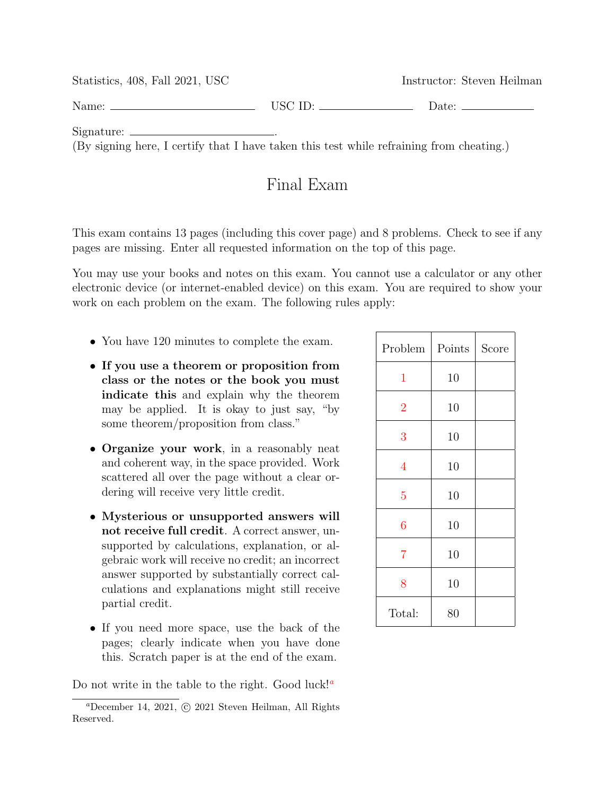Statistics, 408, Fall 2021, USC Instructor: Steven Heilman Name: Date: Date: Date: Date: Date: Date: Date: Date: Date: Date: Date: Date: Date: Date: Date: Date: Date: Date: Date: Date: Date: Date: Date: Date: Date: Date: Date: Date: Date: Date: Date: Date: Date: Date: Date: Date: Signature: . (By signing here, I certify that I have taken this test while refraining from cheating.)

## Final Exam

This exam contains 13 pages (including this cover page) and 8 problems. Check to see if any pages are missing. Enter all requested information on the top of this page.

You may use your books and notes on this exam. You cannot use a calculator or any other electronic device (or internet-enabled device) on this exam. You are required to show your work on each problem on the exam. The following rules apply:

- You have 120 minutes to complete the exam.
- If you use a theorem or proposition from class or the notes or the book you must indicate this and explain why the theorem may be applied. It is okay to just say, "by some theorem/proposition from class."
- Organize your work, in a reasonably neat and coherent way, in the space provided. Work scattered all over the page without a clear ordering will receive very little credit.
- Mysterious or unsupported answers will not receive full credit. A correct answer, unsupported by calculations, explanation, or algebraic work will receive no credit; an incorrect answer supported by substantially correct calculations and explanations might still receive partial credit.
- If you need more space, use the back of the pages; clearly indicate when you have done this. Scratch paper is at the end of the exam.

Do not write in the table to the right. Good luck!<sup>*a*</sup>

| Problem        | Points | Score |
|----------------|--------|-------|
| $\mathbf{1}$   | 10     |       |
| $\overline{2}$ | 10     |       |
| 3              | 10     |       |
| $\overline{4}$ | 10     |       |
| $\overline{5}$ | 10     |       |
| $\overline{6}$ | 10     |       |
| $\overline{7}$ | 10     |       |
| 8              | 10     |       |
| Total:         | 80     |       |

<sup>a</sup>December 14, 2021, c 2021 Steven Heilman, All Rights Reserved.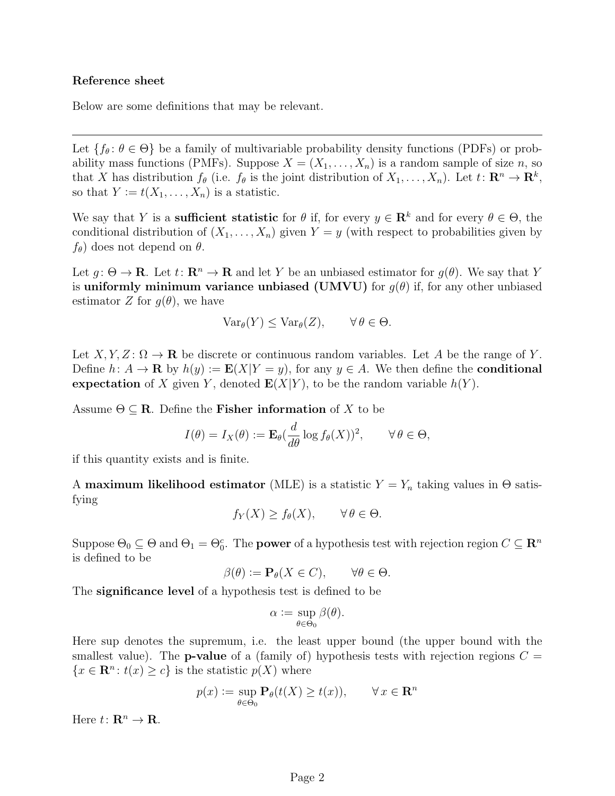## Reference sheet

Below are some definitions that may be relevant.

Let  $\{f_\theta: \theta \in \Theta\}$  be a family of multivariable probability density functions (PDFs) or probability mass functions (PMFs). Suppose  $X = (X_1, \ldots, X_n)$  is a random sample of size n, so that X has distribution  $f_{\theta}$  (i.e.  $f_{\theta}$  is the joint distribution of  $X_1, \ldots, X_n$ ). Let  $t: \mathbb{R}^n \to \mathbb{R}^k$ , so that  $Y := t(X_1, \ldots, X_n)$  is a statistic.

We say that Y is a **sufficient statistic** for  $\theta$  if, for every  $y \in \mathbb{R}^k$  and for every  $\theta \in \Theta$ , the conditional distribution of  $(X_1, \ldots, X_n)$  given  $Y = y$  (with respect to probabilities given by  $f_{\theta}$ ) does not depend on  $\theta$ .

Let  $q: \Theta \to \mathbf{R}$ . Let  $t: \mathbf{R}^n \to \mathbf{R}$  and let Y be an unbiased estimator for  $q(\theta)$ . We say that Y is uniformly minimum variance unbiased (UMVU) for  $g(\theta)$  if, for any other unbiased estimator Z for  $g(\theta)$ , we have

$$
\text{Var}_{\theta}(Y) \leq \text{Var}_{\theta}(Z), \qquad \forall \, \theta \in \Theta.
$$

Let  $X, Y, Z \colon \Omega \to \mathbf{R}$  be discrete or continuous random variables. Let A be the range of Y. Define  $h: A \to \mathbf{R}$  by  $h(y) := \mathbf{E}(X|Y = y)$ , for any  $y \in A$ . We then define the **conditional** expectation of X given Y, denoted  $E(X|Y)$ , to be the random variable  $h(Y)$ .

Assume  $\Theta \subseteq \mathbf{R}$ . Define the **Fisher information** of X to be

$$
I(\theta) = I_X(\theta) := \mathbf{E}_{\theta}(\frac{d}{d\theta}\log f_{\theta}(X))^2, \qquad \forall \theta \in \Theta,
$$

if this quantity exists and is finite.

A maximum likelihood estimator (MLE) is a statistic  $Y = Y_n$  taking values in  $\Theta$  satisfying

$$
f_Y(X) \ge f_\theta(X), \qquad \forall \, \theta \in \Theta.
$$

Suppose  $\Theta_0 \subseteq \Theta$  and  $\Theta_1 = \Theta_0^c$ . The **power** of a hypothesis test with rejection region  $C \subseteq \mathbb{R}^n$ is defined to be

$$
\beta(\theta) := \mathbf{P}_{\theta}(X \in C), \qquad \forall \theta \in \Theta.
$$

The significance level of a hypothesis test is defined to be

$$
\alpha := \sup_{\theta \in \Theta_0} \beta(\theta).
$$

Here sup denotes the supremum, i.e. the least upper bound (the upper bound with the smallest value). The **p-value** of a (family of) hypothesis tests with rejection regions  $C =$  $\{x \in \mathbf{R}^n : t(x) \geq c\}$  is the statistic  $p(X)$  where

$$
p(x) := \sup_{\theta \in \Theta_0} \mathbf{P}_{\theta}(t(X) \ge t(x)), \qquad \forall x \in \mathbf{R}^n
$$

Here  $t: \mathbf{R}^n \to \mathbf{R}$ .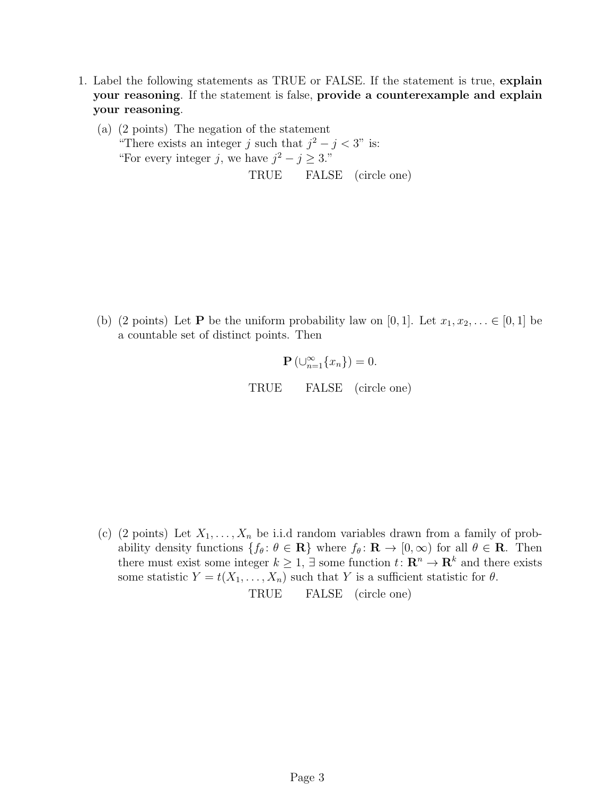- <span id="page-2-0"></span>1. Label the following statements as TRUE or FALSE. If the statement is true, explain your reasoning. If the statement is false, provide a counterexample and explain your reasoning.
	- (a) (2 points) The negation of the statement "There exists an integer j such that  $j^2 - j < 3$ " is: "For every integer j, we have  $j^2 - j \geq 3$ ." TRUE FALSE (circle one)

(b) (2 points) Let **P** be the uniform probability law on [0, 1]. Let  $x_1, x_2, \ldots \in [0, 1]$  be a countable set of distinct points. Then

$$
\mathbf{P}\left(\cup_{n=1}^{\infty}\{x_n\}\right)=0.
$$

TRUE FALSE (circle one)

(c) (2 points) Let  $X_1, \ldots, X_n$  be i.i.d random variables drawn from a family of probability density functions  $\{f_\theta: \theta \in \mathbf{R}\}\$  where  $f_\theta: \mathbf{R} \to [0, \infty)$  for all  $\theta \in \mathbf{R}$ . Then there must exist some integer  $k \geq 1$ ,  $\exists$  some function  $t: \mathbb{R}^n \to \mathbb{R}^k$  and there exists some statistic  $Y = t(X_1, \ldots, X_n)$  such that Y is a sufficient statistic for  $\theta$ . TRUE FALSE (circle one)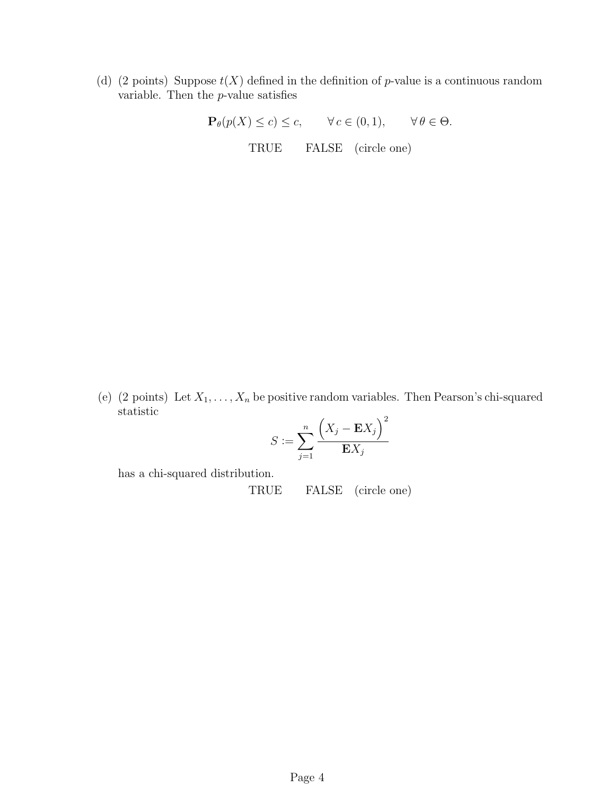(d) (2 points) Suppose  $t(X)$  defined in the definition of p-value is a continuous random variable. Then the  $p$ -value satisfies

> $\mathbf{P}_{\theta}(p(X) \leq c) \leq c, \quad \forall c \in (0,1), \quad \forall \theta \in \Theta.$ TRUE FALSE (circle one)

(e) (2 points) Let  $X_1, \ldots, X_n$  be positive random variables. Then Pearson's chi-squared statistic  $\overline{ }$  $\sqrt{2}$ 

$$
S := \sum_{j=1}^{n} \frac{\left(X_j - \mathbf{E}X_j\right)^2}{\mathbf{E}X_j}
$$

has a chi-squared distribution.

TRUE FALSE (circle one)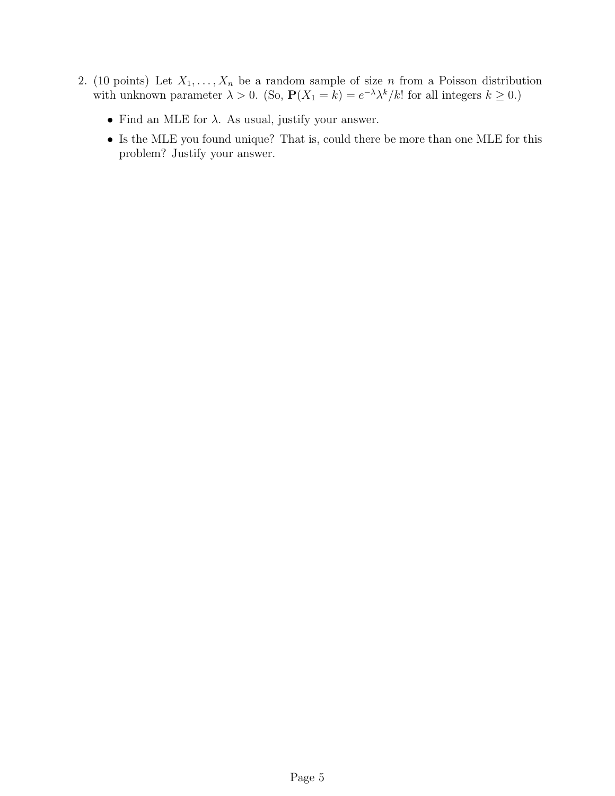- <span id="page-4-0"></span>2. (10 points) Let  $X_1, \ldots, X_n$  be a random sample of size n from a Poisson distribution with unknown parameter  $\lambda > 0$ . (So,  $P(X_1 = k) = e^{-\lambda} \lambda^k / k!$  for all integers  $k \ge 0$ .)
	- $\bullet\,$  Find an MLE for  $\lambda.\,$  As usual, justify your answer.
	- Is the MLE you found unique? That is, could there be more than one MLE for this problem? Justify your answer.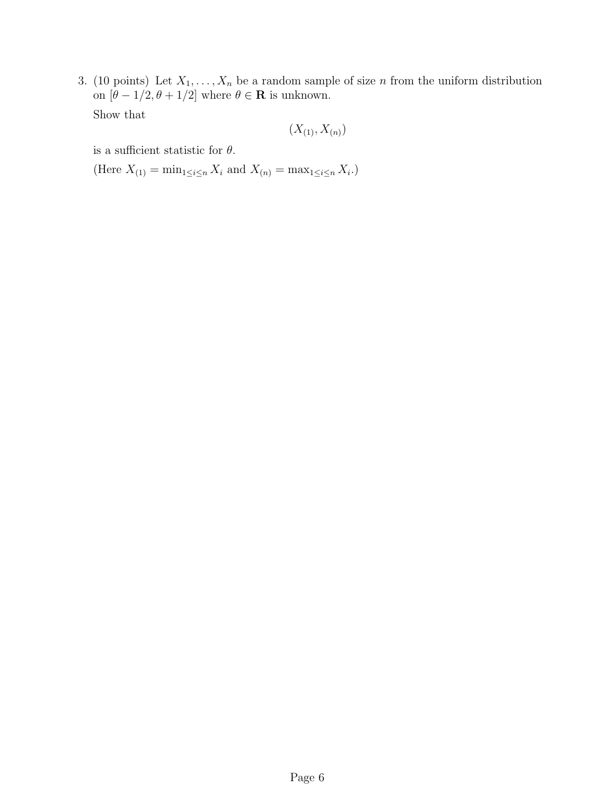<span id="page-5-0"></span>3. (10 points) Let  $X_1, \ldots, X_n$  be a random sample of size n from the uniform distribution on  $[\theta - 1/2, \theta + 1/2]$  where  $\theta \in \mathbb{R}$  is unknown. Show that

$$
(X_{(1)}, X_{(n)})
$$

is a sufficient statistic for  $\theta$ .

(Here  $X_{(1)} = \min_{1 \le i \le n} X_i$  and  $X_{(n)} = \max_{1 \le i \le n} X_i$ .)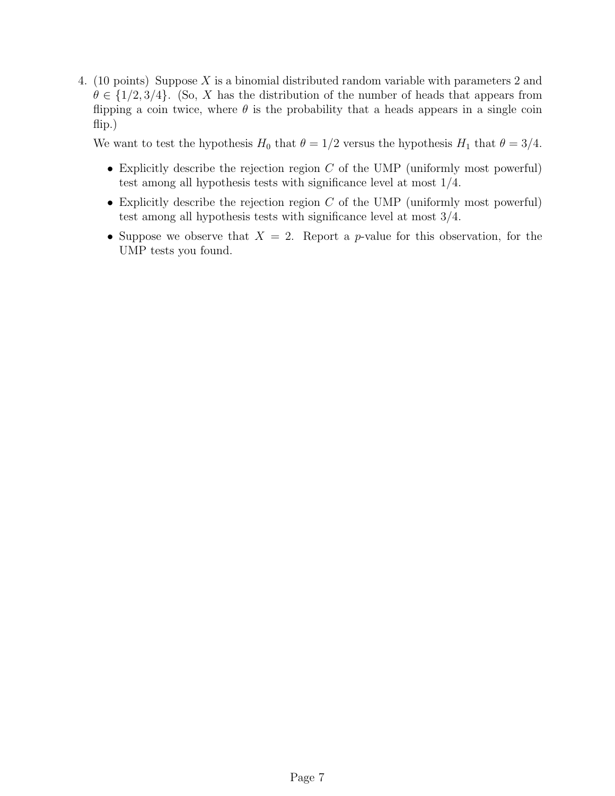<span id="page-6-0"></span>4. (10 points) Suppose X is a binomial distributed random variable with parameters 2 and  $\theta \in \{1/2, 3/4\}$ . (So, X has the distribution of the number of heads that appears from flipping a coin twice, where  $\theta$  is the probability that a heads appears in a single coin flip.)

We want to test the hypothesis  $H_0$  that  $\theta = 1/2$  versus the hypothesis  $H_1$  that  $\theta = 3/4$ .

- Explicitly describe the rejection region  $C$  of the UMP (uniformly most powerful) test among all hypothesis tests with significance level at most 1/4.
- Explicitly describe the rejection region  $C$  of the UMP (uniformly most powerful) test among all hypothesis tests with significance level at most 3/4.
- Suppose we observe that  $X = 2$ . Report a p-value for this observation, for the UMP tests you found.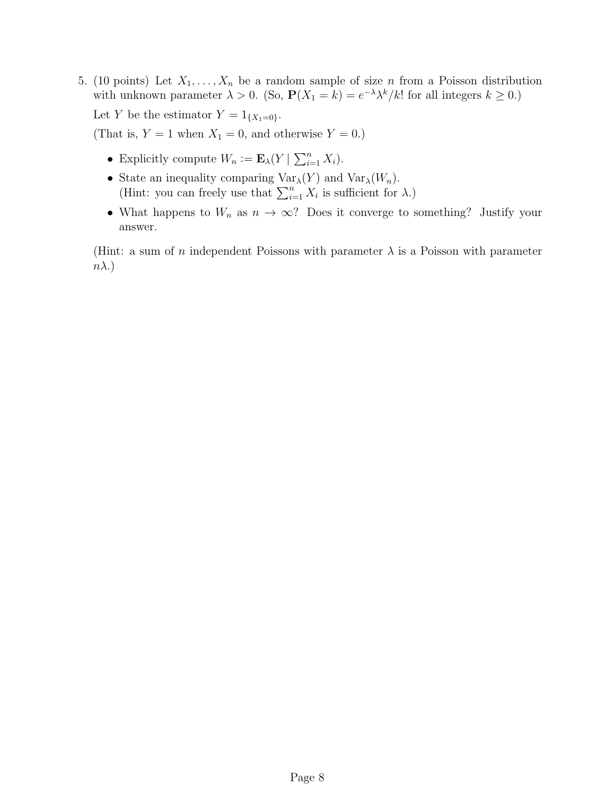<span id="page-7-0"></span>5. (10 points) Let  $X_1, \ldots, X_n$  be a random sample of size n from a Poisson distribution with unknown parameter  $\lambda > 0$ . (So,  $P(X_1 = k) = e^{-\lambda} \lambda^k / k!$  for all integers  $k \ge 0$ .) Let Y be the estimator  $Y = 1_{\{X_1 = 0\}}$ .

(That is,  $Y = 1$  when  $X_1 = 0$ , and otherwise  $Y = 0$ .)

- Explicitly compute  $W_n := \mathbf{E}_{\lambda}(Y | \sum_{i=1}^n X_i)$ .
- State an inequality comparing  $\text{Var}_{\lambda}(Y)$  and  $\text{Var}_{\lambda}(W_n)$ . (Hint: you can freely use that  $\sum_{i=1}^{n} X_i$  is sufficient for  $\lambda$ .)
- What happens to  $W_n$  as  $n \to \infty$ ? Does it converge to something? Justify your answer.

(Hint: a sum of n independent Poissons with parameter  $\lambda$  is a Poisson with parameter  $n\lambda$ .)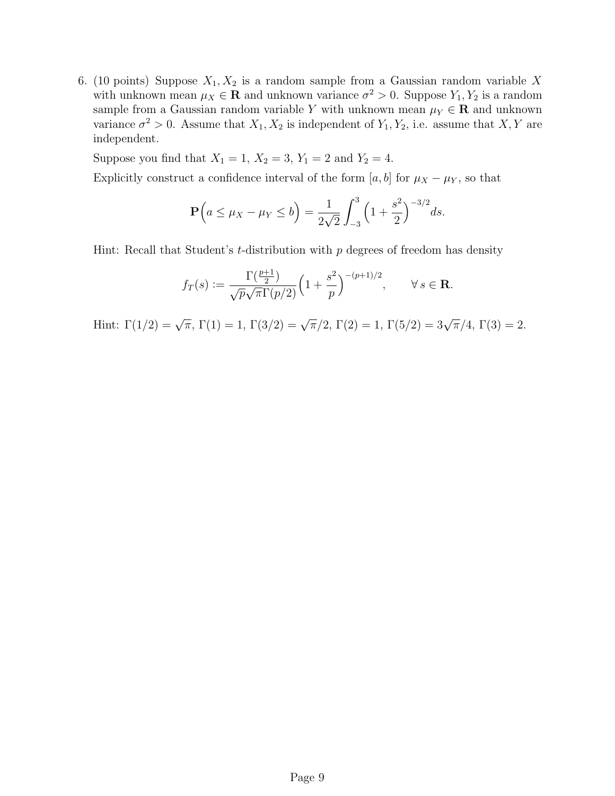<span id="page-8-0"></span>6. (10 points) Suppose  $X_1, X_2$  is a random sample from a Gaussian random variable X with unknown mean  $\mu_X \in \mathbf{R}$  and unknown variance  $\sigma^2 > 0$ . Suppose  $Y_1, Y_2$  is a random sample from a Gaussian random variable Y with unknown mean  $\mu_Y \in \mathbb{R}$  and unknown variance  $\sigma^2 > 0$ . Assume that  $X_1, X_2$  is independent of  $Y_1, Y_2$ , i.e. assume that  $X, Y$  are independent.

Suppose you find that  $X_1 = 1, X_2 = 3, Y_1 = 2$  and  $Y_2 = 4$ .

Explicitly construct a confidence interval of the form [a, b] for  $\mu_X - \mu_Y$ , so that

$$
\mathbf{P}\Big(a \le \mu_X - \mu_Y \le b\Big) = \frac{1}{2\sqrt{2}} \int_{-3}^3 \left(1 + \frac{s^2}{2}\right)^{-3/2} ds.
$$

Hint: Recall that Student's  $t$ -distribution with  $p$  degrees of freedom has density

$$
f_T(s) := \frac{\Gamma(\frac{p+1}{2})}{\sqrt{p}\sqrt{\pi}\Gamma(p/2)} \Big(1 + \frac{s^2}{p}\Big)^{-(p+1)/2}, \qquad \forall s \in \mathbf{R}.
$$

Hint:  $\Gamma(1/2) = \sqrt{\pi}$ ,  $\Gamma(1) = 1$ ,  $\Gamma(3/2) = \sqrt{\pi}/2$ ,  $\Gamma(2) = 1$ ,  $\Gamma(5/2) = 3\sqrt{\pi}/4$ ,  $\Gamma(3) = 2$ .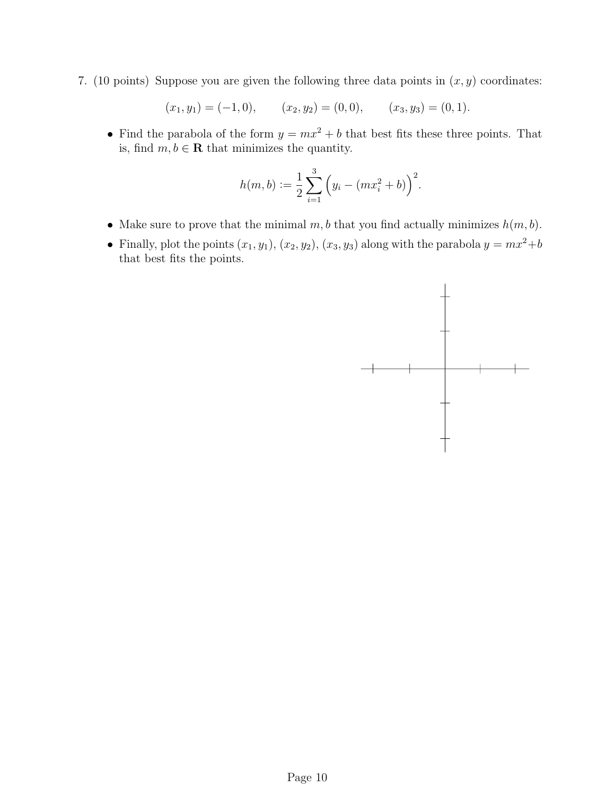<span id="page-9-0"></span>7. (10 points) Suppose you are given the following three data points in  $(x, y)$  coordinates:

$$
(x_1, y_1) = (-1, 0),
$$
  $(x_2, y_2) = (0, 0),$   $(x_3, y_3) = (0, 1).$ 

• Find the parabola of the form  $y = mx^2 + b$  that best fits these three points. That is, find  $m, b \in \mathbf{R}$  that minimizes the quantity.

$$
h(m, b) := \frac{1}{2} \sum_{i=1}^{3} (y_i - (mx_i^2 + b))^2.
$$

- Make sure to prove that the minimal  $m, b$  that you find actually minimizes  $h(m, b)$ .
- Finally, plot the points  $(x_1, y_1)$ ,  $(x_2, y_2)$ ,  $(x_3, y_3)$  along with the parabola  $y = mx^2 + b$ that best fits the points.

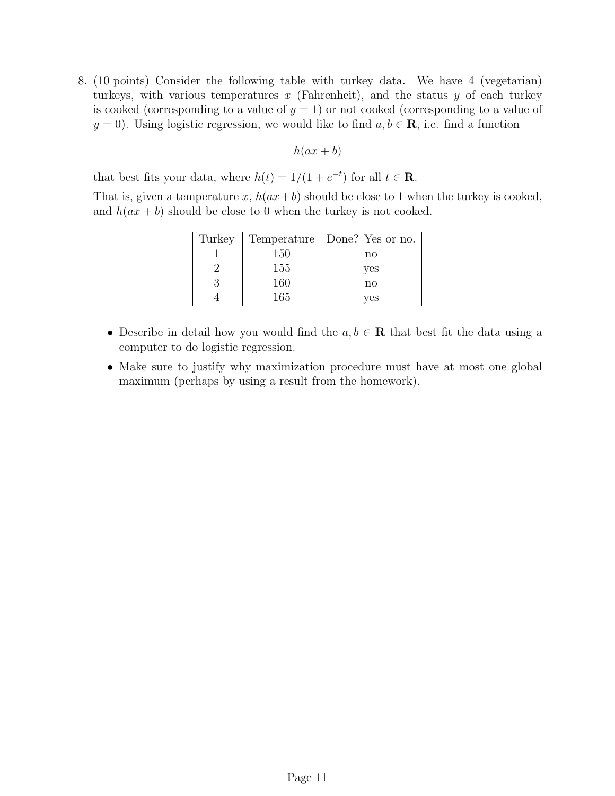<span id="page-10-0"></span>8. (10 points) Consider the following table with turkey data. We have 4 (vegetarian) turkeys, with various temperatures  $x$  (Fahrenheit), and the status  $y$  of each turkey is cooked (corresponding to a value of  $y = 1$ ) or not cooked (corresponding to a value of  $y = 0$ . Using logistic regression, we would like to find  $a, b \in \mathbf{R}$ , i.e. find a function

$$
h(ax + b)
$$

that best fits your data, where  $h(t) = 1/(1 + e^{-t})$  for all  $t \in \mathbb{R}$ .

That is, given a temperature x,  $h(ax+b)$  should be close to 1 when the turkey is cooked, and  $h(ax + b)$  should be close to 0 when the turkey is not cooked.

| Turkey |     | Temperature Done? Yes or no. |
|--------|-----|------------------------------|
|        | 150 | no                           |
|        | 155 | yes                          |
|        | 160 | no                           |
|        | 165 | ves                          |

- Describe in detail how you would find the  $a, b \in \mathbf{R}$  that best fit the data using a computer to do logistic regression.
- Make sure to justify why maximization procedure must have at most one global maximum (perhaps by using a result from the homework).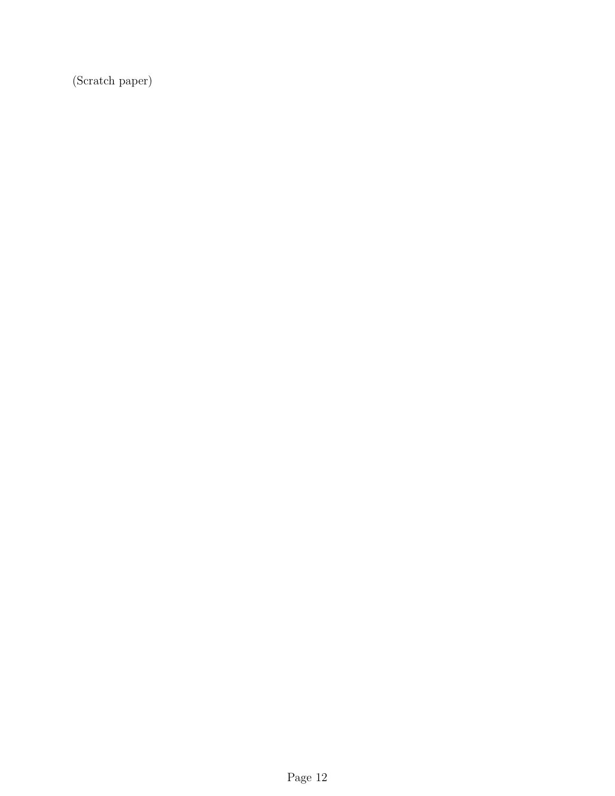(Scratch paper)